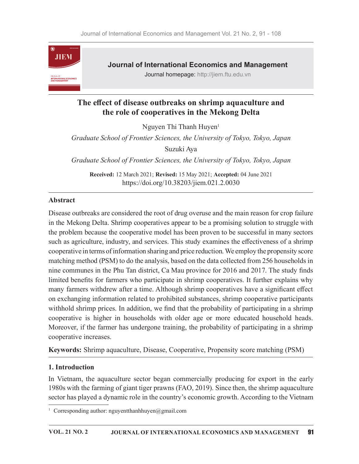

# The effect of disease outbreaks on shrimp aquaculture and the role of cooperatives in the Mekong Delta

Nguyen Thi Thanh Huyen<sup>1</sup>

Graduate School of Frontier Sciences, the University of Tokyo, Tokyo, Japan Suzuki Aya

Graduate School of Frontier Sciences, the University of Tokyo, Tokyo, Japan

Received: 12 March 2021; Revised: 15 May 2021; Accepted: 04 June 2021 https://doi.org/10.38203/jiem.021.2.0030

## Abstract

Disease outbreaks are considered the root of drug overuse and the main reason for crop failure in the Mekong Delta. Shrimp cooperatives appear to be a promising solution to struggle with the problem because the cooperative model has been proven to be successful in many sectors such as agriculture, industry, and services. This study examines the effectiveness of a shrimp cooperative in terms of information sharing and price reduction. We employ the propensity score matching method (PSM) to do the analysis, based on the data collected from 256 households in nine communes in the Phu Tan district, Ca Mau province for 2016 and 2017. The study finds limited benefits for farmers who participate in shrimp cooperatives. It further explains why many farmers withdrew after a time. Although shrimp cooperatives have a significant effect on exchanging information related to prohibited substances, shrimp cooperative participants withhold shrimp prices. In addition, we find that the probability of participating in a shrimp cooperative is higher in households with older age or more educated household heads. Moreover, if the farmer has undergone training, the probability of participating in a shrimp cooperative increases.

Keywords: Shrimp aquaculture, Disease, Cooperative, Propensity score matching (PSM)

## 1. Introduction

In Vietnam, the aquaculture sector began commercially producing for export in the early 1980s with the farming of giant tiger prawns (FAO, 2019). Since then, the shrimp aquaculture sector has played a dynamic role in the country's economic growth. According to the Vietnam

<sup>&</sup>lt;sup>1</sup> Corresponding author: nguyentthanhhuyen@gmail.com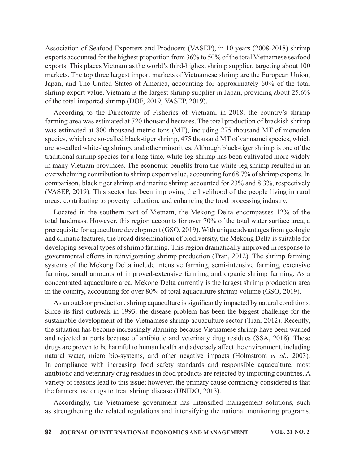Association of Seafood Exporters and Producers (VASEP), in 10 years (2008-2018) shrimp exports accounted for the highest proportion from 36% to 50% of the total Vietnamese seafood exports. This places Vietnam as the world's third-highest shrimp supplier, targeting about 100 markets. The top three largest import markets of Vietnamese shrimp are the European Union, Japan, and The United States of America, accounting for approximately 60% of the total shrimp export value. Vietnam is the largest shrimp supplier in Japan, providing about 25.6% of the total imported shrimp (DOF, 2019; VASEP, 2019).

According to the Directorate of Fisheries of Vietnam, in 2018, the country's shrimp farming area was estimated at 720 thousand hectares. The total production of brackish shrimp was estimated at 800 thousand metric tons (MT), including 275 thousand MT of monodon species, which are so-called black-tiger shrimp, 475 thousand MT of vannamei species, which are so-called white-leg shrimp, and other minorities. Although black-tiger shrimp is one of the traditional shrimp species for a long time, white-leg shrimp has been cultivated more widely in many Vietnam provinces. The economic benefits from the white-leg shrimp resulted in an overwhelming contribution to shrimp export value, accounting for 68.7% of shrimp exports. In comparison, black tiger shrimp and marine shrimp accounted for 23% and 8.3%, respectively (VASEP, 2019). This sector has been improving the livelihood of the people living in rural areas, contributing to poverty reduction, and enhancing the food processing industry.

Located in the southern part of Vietnam, the Mekong Delta encompasses 12% of the total landmass. However, this region accounts for over 70% of the total water surface area, a prerequisite for aquaculture development (GSO, 2019). With unique advantages from geologic and climatic features, the broad dissemination of biodiversity, the Mekong Delta is suitable for developing several types of shrimp farming. This region dramatically improved in response to governmental efforts in reinvigorating shrimp production (Tran, 2012). The shrimp farming systems of the Mekong Delta include intensive farming, semi-intensive farming, extensive farming, small amounts of improved-extensive farming, and organic shrimp farming. As a concentrated aquaculture area, Mekong Delta currently is the largest shrimp production area in the country, accounting for over 80% of total aquaculture shrimp volume (GSO, 2019).

As an outdoor production, shrimp aquaculture is significantly impacted by natural conditions. Since its first outbreak in 1993, the disease problem has been the biggest challenge for the sustainable development of the Vietnamese shrimp aquaculture sector (Tran, 2012). Recently, the situation has become increasingly alarming because Vietnamese shrimp have been warned and rejected at ports because of antibiotic and veterinary drug residues (SSA, 2018). These drugs are proven to be harmful to human health and adversely affect the environment, including natural water, micro bio-systems, and other negative impacts (Holmstrom et al., 2003). In compliance with increasing food safety standards and responsible aquaculture, most antibiotic and veterinary drug residues in food products are rejected by importing countries. A variety of reasons lead to this issue; however, the primary cause commonly considered is that the farmers use drugs to treat shrimp disease (UNIDO, 2013).

Accordingly, the Vietnamese government has intensified management solutions, such as strengthening the related regulations and intensifying the national monitoring programs.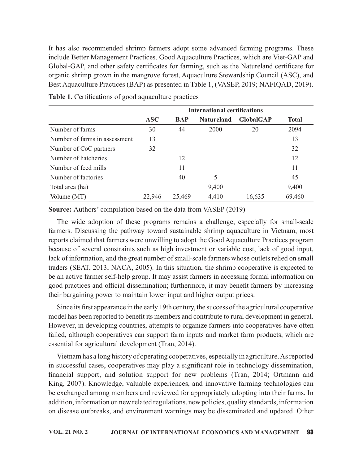| It has also recommended shrimp farmers adopt some advanced farming programs. These<br>include Better Management Practices, Good Aquaculture Practices, which are Viet-GAP and<br>Global-GAP, and other safety certificates for farming, such as the Natureland certificate for |            |            |                                     |                  |              |
|--------------------------------------------------------------------------------------------------------------------------------------------------------------------------------------------------------------------------------------------------------------------------------|------------|------------|-------------------------------------|------------------|--------------|
|                                                                                                                                                                                                                                                                                |            |            |                                     |                  |              |
|                                                                                                                                                                                                                                                                                |            |            |                                     |                  |              |
|                                                                                                                                                                                                                                                                                |            |            |                                     |                  |              |
| organic shrimp grown in the mangrove forest, Aquaculture Stewardship Council (ASC), and                                                                                                                                                                                        |            |            |                                     |                  |              |
| Best Aquaculture Practices (BAP) as presented in Table 1, (VASEP, 2019; NAFIQAD, 2019).                                                                                                                                                                                        |            |            |                                     |                  |              |
|                                                                                                                                                                                                                                                                                |            |            |                                     |                  |              |
| Table 1. Certifications of good aquaculture practices                                                                                                                                                                                                                          |            |            |                                     |                  |              |
|                                                                                                                                                                                                                                                                                |            |            | <b>International certifications</b> |                  |              |
|                                                                                                                                                                                                                                                                                | <b>ASC</b> | <b>BAP</b> | <b>Natureland</b>                   | <b>GlobalGAP</b> | <b>Total</b> |
| Number of farms                                                                                                                                                                                                                                                                | 30         | 44         | 2000                                | 20               | 2094         |
|                                                                                                                                                                                                                                                                                |            |            |                                     |                  | 13           |
| Number of farms in assessment                                                                                                                                                                                                                                                  | 13         |            |                                     |                  |              |
| Number of CoC partners                                                                                                                                                                                                                                                         | 32         |            |                                     |                  | 32           |
| Number of hatcheries                                                                                                                                                                                                                                                           |            | 12         |                                     |                  | 12           |
| Number of feed mills                                                                                                                                                                                                                                                           |            | 11         |                                     |                  | 11           |
| Number of factories                                                                                                                                                                                                                                                            |            | 40         | 5                                   |                  | 45           |
| Total area (ha)                                                                                                                                                                                                                                                                |            |            | 9,400                               |                  | 9,400        |
| Volume (MT)                                                                                                                                                                                                                                                                    | 22,946     | 25,469     | 4,410                               | 16,635           | 69,460       |
| Source: Authors' compilation based on the data from VASEP (2019)                                                                                                                                                                                                               |            |            |                                     |                  |              |

Table 1. Certifications of good aquaculture practices

The wide adoption of these programs remains a challenge, especially for small-scale farmers. Discussing the pathway toward sustainable shrimp aquaculture in Vietnam, most reports claimed that farmers were unwilling to adopt the Good Aquaculture Practices program because of several constraints such as high investment or variable cost, lack of good input, lack of information, and the great number of small-scale farmers whose outlets relied on small traders (SEAT, 2013; NACA, 2005). In this situation, the shrimp cooperative is expected to be an active farmer self-help group. It may assist farmers in accessing formal information on good practices and official dissemination; furthermore, it may benefit farmers by increasing their bargaining power to maintain lower input and higher output prices.

Since its first appearance in the early 19th century, the success of the agricultural cooperative model has been reported to benefit its members and contribute to rural development in general. However, in developing countries, attempts to organize farmers into cooperatives have often failed, although cooperatives can support farm inputs and market farm products, which are essential for agricultural development (Tran, 2014).

Vietnam has a long history of operating cooperatives, especially in agriculture. As reported in successful cases, cooperatives may play a significant role in technology dissemination, financial support, and solution support for new problems (Tran, 2014; Ortmann and King, 2007). Knowledge, valuable experiences, and innovative farming technologies can be exchanged among members and reviewed for appropriately adopting into their farms. In addition, information on new related regulations, new policies, quality standards, information on disease outbreaks, and environment warnings may be disseminated and updated. Other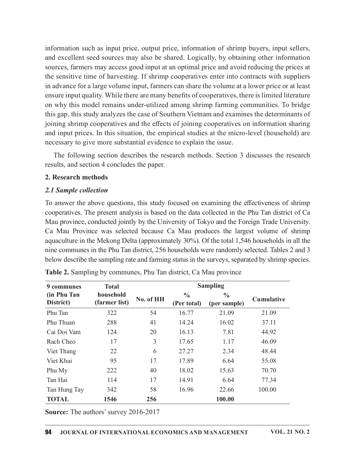information such as input price, output price, information of shrimp buyers, input sellers, and excellent seed sources may also be shared. Logically, by obtaining other information sources, farmers may access good input at an optimal price and avoid reducing the prices at the sensitive time of harvesting. If shrimp cooperatives enter into contracts with suppliers in advance for a large volume input, farmers can share the volume at a lower price or at least ensure input quality. While there are many benefits of cooperatives, there is limited literature on why this model remains under-utilized among shrimp farming communities. To bridge this gap, this study analyzes the case of Southern Vietnam and examines the determinants of joining shrimp cooperatives and the effects of joining cooperatives on information sharing and input prices. In this situation, the empirical studies at the micro-level (household) are necessary to give more substantial evidence to explain the issue.

The following section describes the research methods. Section 3 discusses the research results, and section 4 concludes the paper.

### 2. Research methods

### 2.1 Sample collection

| 2. Research methods                                                                                                                                                                                                                                                                                                                                                                                                                                                                                                                                                                                                                                                                                                                                         |                            |           |                              |                               |            |
|-------------------------------------------------------------------------------------------------------------------------------------------------------------------------------------------------------------------------------------------------------------------------------------------------------------------------------------------------------------------------------------------------------------------------------------------------------------------------------------------------------------------------------------------------------------------------------------------------------------------------------------------------------------------------------------------------------------------------------------------------------------|----------------------------|-----------|------------------------------|-------------------------------|------------|
| 2.1 Sample collection                                                                                                                                                                                                                                                                                                                                                                                                                                                                                                                                                                                                                                                                                                                                       |                            |           |                              |                               |            |
| To answer the above questions, this study focused on examining the effectiveness of shrimp<br>cooperatives. The present analysis is based on the data collected in the Phu Tan district of Ca<br>Mau province, conducted jointly by the University of Tokyo and the Foreign Trade University.<br>Ca Mau Province was selected because Ca Mau produces the largest volume of shrimp<br>aquaculture in the Mekong Delta (approximately 30%). Of the total 1,546 households in all the<br>nine communes in the Phu Tan district, 256 households were randomly selected. Tables 2 and 3<br>below describe the sampling rate and farming status in the surveys, separated by shrimp species.<br>Table 2. Sampling by communes, Phu Tan district, Ca Mau province |                            |           |                              |                               |            |
| 9 communes                                                                                                                                                                                                                                                                                                                                                                                                                                                                                                                                                                                                                                                                                                                                                  | <b>Total</b>               |           |                              | <b>Sampling</b>               |            |
| (in Phu Tan<br>District)                                                                                                                                                                                                                                                                                                                                                                                                                                                                                                                                                                                                                                                                                                                                    | household<br>(farmer list) | No. of HH | $\frac{0}{0}$<br>(Per total) | $\frac{0}{0}$<br>(per sample) | Cumulative |
| Phu Tan                                                                                                                                                                                                                                                                                                                                                                                                                                                                                                                                                                                                                                                                                                                                                     | 322                        | 54        | 16.77                        | 21.09                         | 21.09      |
| Phu Thuan                                                                                                                                                                                                                                                                                                                                                                                                                                                                                                                                                                                                                                                                                                                                                   | 288                        | 41        | 14.24                        | 16.02                         | 37.11      |
| Cai Doi Vam                                                                                                                                                                                                                                                                                                                                                                                                                                                                                                                                                                                                                                                                                                                                                 | 124                        | 20        | 16.13                        | 7.81                          | 44.92      |
| Rach Cheo                                                                                                                                                                                                                                                                                                                                                                                                                                                                                                                                                                                                                                                                                                                                                   | 17                         | 3         | 17.65                        | 1.17                          | 46.09      |
| Viet Thang                                                                                                                                                                                                                                                                                                                                                                                                                                                                                                                                                                                                                                                                                                                                                  | 22                         | 6         | 27.27                        | 2.34                          | 48.44      |
| Viet Khai                                                                                                                                                                                                                                                                                                                                                                                                                                                                                                                                                                                                                                                                                                                                                   | 95                         | 17        | 17.89                        | 6.64                          | 55.08      |
| Phu My                                                                                                                                                                                                                                                                                                                                                                                                                                                                                                                                                                                                                                                                                                                                                      | 222                        | 40        | 18.02                        | 15.63                         | 70.70      |
| Tan Hai                                                                                                                                                                                                                                                                                                                                                                                                                                                                                                                                                                                                                                                                                                                                                     | 114                        | 17        | 14.91                        | 6.64                          | 77.34      |
| Tan Hung Tay                                                                                                                                                                                                                                                                                                                                                                                                                                                                                                                                                                                                                                                                                                                                                | 342                        | 58        | 16.96                        | 22.66                         | 100.00     |
| <b>TOTAL</b>                                                                                                                                                                                                                                                                                                                                                                                                                                                                                                                                                                                                                                                                                                                                                | 1546                       | 256       |                              | 100.00                        |            |
|                                                                                                                                                                                                                                                                                                                                                                                                                                                                                                                                                                                                                                                                                                                                                             |                            |           |                              |                               |            |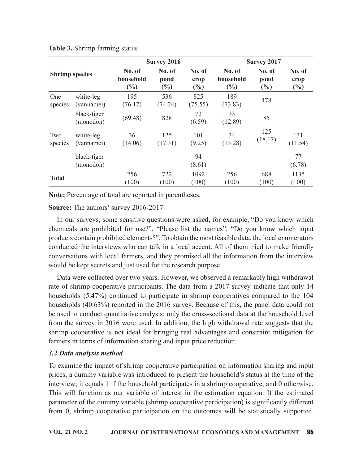|                | Table 3. Shrimp farming status |                            |                          |                          |                               |                       |                          |
|----------------|--------------------------------|----------------------------|--------------------------|--------------------------|-------------------------------|-----------------------|--------------------------|
|                |                                |                            | <b>Survey 2016</b>       |                          |                               | <b>Survey 2017</b>    |                          |
|                | <b>Shrimp species</b>          | No. of<br>household<br>(%) | No. of<br>pond<br>$(\%)$ | No. of<br>crop<br>$(\%)$ | No. of<br>household<br>$(\%)$ | No. of<br>pond<br>(%) | No. of<br>crop<br>$(\%)$ |
| One            | white-leg<br>(vannamei)        | 195<br>(76.17)             | 536<br>(74.24)           | 825<br>(75.55)           | 189<br>(73.83)                | 478                   |                          |
| species        |                                |                            |                          | 72                       | 33                            | 85                    |                          |
|                | black-tiger<br>(monodon)       | (69.48)                    | 828                      | (6.59)                   | (12.89)                       |                       |                          |
| Two<br>species | white-leg<br>(vannamei)        | 36<br>(14.06)              | 125<br>(17.31)           | 101<br>(9.25)            | 34<br>(13.28)                 | 125<br>(18.17)        | 131<br>(11.54)           |
|                | black-tiger                    |                            |                          | 94                       |                               |                       | 77                       |
|                | (monodon)                      | 256                        | 722                      | (8.61)<br>1092           | 256                           | 688                   | (6.78)<br>1135           |

## Table 3. Shrimp farming status

Note: Percentage of total are reported in parentheses.

Source: The authors' survey 2016-2017

In our surveys, some sensitive questions were asked, for example, "Do you know which chemicals are prohibited for use?", "Please list the names", "Do you know which input products contain prohibited elements?". To obtain the most feasible data, the local enumerators conducted the interviews who can talk in a local accent. All of them tried to make friendly conversations with local farmers, and they promised all the information from the interview would be kept secrets and just used for the research purpose.

Data were collected over two years. However, we observed a remarkably high withdrawal rate of shrimp cooperative participants. The data from a 2017 survey indicate that only 14 households (5.47%) continued to participate in shrimp cooperatives compared to the 104 households (40.63%) reported in the 2016 survey. Because of this, the panel data could not be used to conduct quantitative analysis; only the cross-sectional data at the household level from the survey in 2016 were used. In addition, the high withdrawal rate suggests that the shrimp cooperative is not ideal for bringing real advantages and constraint mitigation for farmers in terms of information sharing and input price reduction.

# 3.2 Data analysis method

To examine the impact of shrimp cooperative participation on information sharing and input prices, a dummy variable was introduced to present the household's status at the time of the interview; it equals 1 if the household participates in a shrimp cooperative, and 0 otherwise. This will function as our variable of interest in the estimation equation. If the estimated parameter of the dummy variable (shrimp cooperative participation) is significantly different from 0, shrimp cooperative participation on the outcomes will be statistically supported.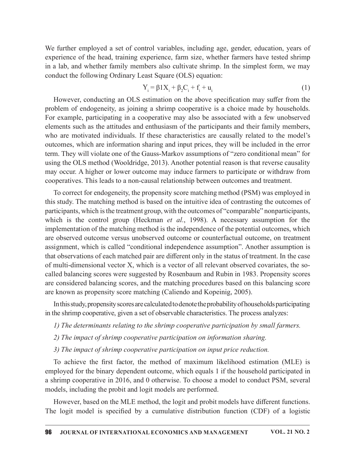We further employed a set of control variables, including age, gender, education, years of experience of the head, training experience, farm size, whether farmers have tested shrimp in a lab, and whether family members also cultivate shrimp. In the simplest form, we may conduct the following Ordinary Least Square (OLS) equation:

$$
Y_{i} = \beta 1 X_{i} + \beta_{2} C_{i} + f_{i} + u_{i}
$$
 (1)

However, conducting an OLS estimation on the above specification may suffer from the problem of endogeneity, as joining a shrimp cooperative is a choice made by households. For example, participating in a cooperative may also be associated with a few unobserved elements such as the attitudes and enthusiasm of the participants and their family members, who are motivated individuals. If these characteristics are causally related to the model's outcomes, which are information sharing and input prices, they will be included in the error term. They will violate one of the Gauss-Markov assumptions of "zero conditional mean" for using the OLS method (Wooldridge, 2013). Another potential reason is that reverse causality may occur. A higher or lower outcome may induce farmers to participate or withdraw from cooperatives. This leads to a non-causal relationship between outcomes and treatment.

To correct for endogeneity, the propensity score matching method (PSM) was employed in this study. The matching method is based on the intuitive idea of contrasting the outcomes of participants, which is the treatment group, with the outcomes of "comparable" nonparticipants, which is the control group (Heckman *et al.*, 1998). A necessary assumption for the implementation of the matching method is the independence of the potential outcomes, which are observed outcome versus unobserved outcome or counterfactual outcome, on treatment assignment, which is called "conditional independence assumption". Another assumption is that observations of each matched pair are different only in the status of treatment. In the case of multi-dimensional vector X, which is a vector of all relevant observed covariates, the socalled balancing scores were suggested by Rosenbaum and Rubin in 1983. Propensity scores are considered balancing scores, and the matching procedures based on this balancing score are known as propensity score matching (Caliendo and Kopeinig, 2005). ich is the control group (Heckman *et al.*, 1998). A necessary assumption for the photomical of the matching method is the independence of the potential outcomes, which phenomical vectors, the independence of method of me

In this study, propensity scores are calculated to denote the probability of households participating in the shrimp cooperative, given a set of observable characteristics. The process analyzes:

- 1) The determinants relating to the shrimp cooperative participation by small farmers.
- 2) The impact of shrimp cooperative participation on information sharing.
- 3) The impact of shrimp cooperative participation on input price reduction.

employed for the binary dependent outcome, which equals 1 if the household participated in a shrimp cooperative in 2016, and 0 otherwise. To choose a model to conduct PSM, several models, including the probit and logit models are performed.

However, based on the MLE method, the logit and probit models have different functions. The logit model is specified by a cumulative distribution function (CDF) of a logistic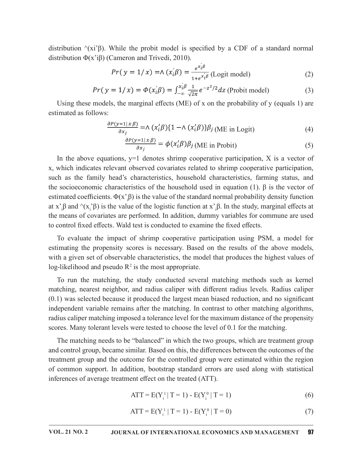distribution  $\langle x_i' \rangle$ β). While the probit model is specified by a CDF of a standard normal distribution Φ(x'iβ) (Cameron and Trivedi, 2010).

$$
Pr(y = 1/x) = \Lambda(x_i' \beta) = \frac{e^{x_i' \beta}}{1 + e^{x_i' \beta}} \text{ (Logit model)}
$$
 (2)

$$
Pr(y = 1/x) = \Phi(x_i/\beta) = \int_{-\infty}^{x_i/\beta} \frac{1}{\sqrt{2\pi}} e^{-z^2/2} dz
$$
 (Problem model) (3)

Using these models, the marginal effects (ME) of x on the probability of  $y$  (equals 1) are estimated as follows:

$$
\frac{\partial P(y=1|x\beta)}{\partial x_j} = \Lambda \left( x_i' \beta \right) \{ 1 - \Lambda \left( x_i' \beta \right) \} \beta_j \text{ (ME in Logit)} \tag{4}
$$

$$
\frac{\partial P(y=1|x\beta)}{\partial x_j} = \phi(x_i'\beta)\beta_j \text{ (ME in Profit)}
$$
 (5)

In the above equations,  $y=1$  denotes shrimp cooperative participation, X is a vector of x, which indicates relevant observed covariates related to shrimp cooperative participation, such as the family head's characteristics, household characteristics, farming status, and the socioeconomic characteristics of the household used in equation (1). β is the vector of estimated coefficients.  $\Phi(x;\beta)$  is the value of the standard normal probability density function at x'<sub>i</sub>β and  $\langle x, \hat{b} \rangle$  is the value of the logistic function at x'<sub>i</sub>β. In the study, marginal effects at the means of covariates are performed. In addition, dummy variables for commune are used to control fixed effects. Wald test is conducted to examine the fixed effects.

To evaluate the impact of shrimp cooperative participation using PSM, a model for estimating the propensity scores is necessary. Based on the results of the above models, with a given set of observable characteristics, the model that produces the highest values of log-likelihood and pseudo  $R^2$  is the most appropriate.

To run the matching, the study conducted several matching methods such as kernel matching, nearest neighbor, and radius caliper with different radius levels. Radius caliper  $(0.1)$  was selected because it produced the largest mean biased reduction, and no significant independent variable remains after the matching. In contrast to other matching algorithms, radius caliper matching imposed a tolerance level for the maximum distance of the propensity scores. Many tolerant levels were tested to choose the level of 0.1 for the matching.

The matching needs to be "balanced" in which the two groups, which are treatment group and control group, became similar. Based on this, the differences between the outcomes of the treatment group and the outcome for the controlled group were estimated within the region of common support. In addition, bootstrap standard errors are used along with statistical inferences of average treatment effect on the treated (ATT).

$$
ATT = E(Y_i^1 | T = 1) - E(Y_i^0 | T = 1)
$$
\n(6)

$$
ATT = E(Y_i^1 | T = 1) - E(Y_i^0 | T = 0)
$$
\n(7)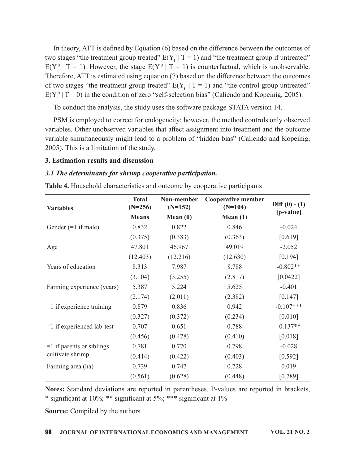In theory, ATT is defined by Equation (6) based on the difference between the outcomes of two stages "the treatment group treated"  $E(Y_i^1 | T = 1)$  and "the treatment group if untreated"  $E(Y_i^0 | T = 1)$ . However, the stage  $E(Y_i^0 | T = 1)$  is counterfactual, which is unobservable. Therefore, ATT is estimated using equation  $(7)$  based on the difference between the outcomes of two stages "the treatment group treated"  $E(Y_i^1 | T = 1)$  and "the control group untreated"  $E(Y_i^0 | T = 0)$  in the condition of zero "self-selection bias" (Caliendo and Kopeinig, 2005).

### 3. Estimation results and discussion

#### 3.1 The determinants for shrimp cooperative participation.

| $E(Y_i^0   T = 0)$ in the condition of zero "self-selection bias" (Caliendo and Kopeinig, 2005).<br>To conduct the analysis, the study uses the software package STATA version 14.<br>PSM is employed to correct for endogeneity; however, the method controls only observed |                           |                         |                                                                                             |                              |
|------------------------------------------------------------------------------------------------------------------------------------------------------------------------------------------------------------------------------------------------------------------------------|---------------------------|-------------------------|---------------------------------------------------------------------------------------------|------------------------------|
|                                                                                                                                                                                                                                                                              |                           |                         |                                                                                             |                              |
|                                                                                                                                                                                                                                                                              |                           |                         |                                                                                             |                              |
| variable simultaneously might lead to a problem of "hidden bias" (Caliendo and Kopeinig,<br>2005). This is a limitation of the study.                                                                                                                                        |                           |                         | variables. Other unobserved variables that affect assignment into treatment and the outcome |                              |
| 3. Estimation results and discussion                                                                                                                                                                                                                                         |                           |                         |                                                                                             |                              |
| 3.1 The determinants for shrimp cooperative participation.                                                                                                                                                                                                                   |                           |                         |                                                                                             |                              |
| Table 4. Household characteristics and outcome by cooperative participants                                                                                                                                                                                                   |                           |                         |                                                                                             |                              |
| <b>Variables</b>                                                                                                                                                                                                                                                             | <b>Total</b><br>$(N=256)$ | Non-member<br>$(N=152)$ | <b>Cooperative member</b><br>$(N=104)$                                                      | $Diff(0) - (1)$<br>[p-value] |
|                                                                                                                                                                                                                                                                              | <b>Means</b>              | Mean $(0)$              | Mean $(1)$                                                                                  |                              |
| Gender $(=1$ if male)                                                                                                                                                                                                                                                        | 0.832                     | 0.822                   | 0.846                                                                                       | $-0.024$                     |
|                                                                                                                                                                                                                                                                              | (0.375)                   | (0.383)                 | (0.363)                                                                                     | [0.619]                      |
| Age                                                                                                                                                                                                                                                                          | 47.801                    | 46.967                  | 49.019                                                                                      | $-2.052$                     |
|                                                                                                                                                                                                                                                                              | (12.403)                  | (12.216)                | (12.630)                                                                                    | [0.194]                      |
| Years of education                                                                                                                                                                                                                                                           | 8.313                     | 7.987                   | 8.788                                                                                       | $-0.802**$                   |
|                                                                                                                                                                                                                                                                              | (3.104)                   | (3.255)                 | (2.817)                                                                                     | [0.0422]                     |
| Farming experience (years)                                                                                                                                                                                                                                                   | 5.387                     | 5.224                   | 5.625                                                                                       | $-0.401$                     |
|                                                                                                                                                                                                                                                                              | (2.174)                   | (2.011)                 | (2.382)                                                                                     | [0.147]                      |
| $=1$ if experience training                                                                                                                                                                                                                                                  | 0.879                     | 0.836                   | 0.942                                                                                       | $-0.107***$                  |
|                                                                                                                                                                                                                                                                              | (0.327)                   | (0.372)                 | (0.234)                                                                                     | [0.010]                      |
| $=1$ if experienced lab-test                                                                                                                                                                                                                                                 | 0.707                     | 0.651                   | 0.788                                                                                       | $-0.137**$                   |
|                                                                                                                                                                                                                                                                              | (0.456)                   | (0.478)                 | (0.410)                                                                                     | [0.018]                      |
| $=1$ if parents or siblings                                                                                                                                                                                                                                                  | 0.781                     | 0.770                   | 0.798                                                                                       | $-0.028$                     |
| cultivate shrimp                                                                                                                                                                                                                                                             | (0.414)                   | (0.422)                 | (0.403)                                                                                     | $[0.592]$                    |
| Farming area (ha)                                                                                                                                                                                                                                                            | 0.739                     | 0.747                   | 0.728                                                                                       | 0.019                        |
|                                                                                                                                                                                                                                                                              | (0.561)                   | (0.628)                 | (0.448)                                                                                     | [0.789]                      |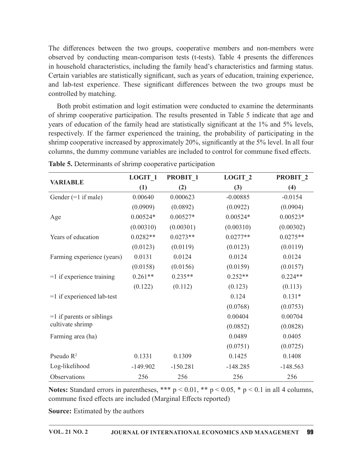Both probit estimation and logit estimation were conducted to examine the determinants of shrimp cooperative participation. The results presented in Table 5 indicate that age and years of education of the family head are statistically significant at the 1% and 5% levels, respectively. If the farmer experienced the training, the probability of participating in the shrimp cooperative increased by approximately  $20\%$ , significantly at the 5% level. In all four columns, the dummy commune variables are included to control for commune fixed effects. the two groups, cooperative members and non-members were<br>
cara-comparison tests (t-tests). Table 4 presents the differences<br>
i, including the family head's characteristics and farming experience,<br>
since significant, such a

| The differences between the two groups, cooperative members and non-members were<br>observed by conducting mean-comparison tests (t-tests). Table 4 presents the differences                                                                                                                                           |            |                     |                    |                     |
|------------------------------------------------------------------------------------------------------------------------------------------------------------------------------------------------------------------------------------------------------------------------------------------------------------------------|------------|---------------------|--------------------|---------------------|
| in household characteristics, including the family head's characteristics and farming status.<br>Certain variables are statistically significant, such as years of education, training experience,<br>and lab-test experience. These significant differences between the two groups must be<br>controlled by matching. |            |                     |                    |                     |
| Both probit estimation and logit estimation were conducted to examine the determinants<br>of shrimp cooperative participation. The results presented in Table 5 indicate that age and                                                                                                                                  |            |                     |                    |                     |
| years of education of the family head are statistically significant at the 1% and 5% levels,                                                                                                                                                                                                                           |            |                     |                    |                     |
| respectively. If the farmer experienced the training, the probability of participating in the<br>shrimp cooperative increased by approximately 20%, significantly at the 5% level. In all four<br>columns, the dummy commune variables are included to control for commune fixed effects.                              |            |                     |                    |                     |
| Table 5. Determinants of shrimp cooperative participation                                                                                                                                                                                                                                                              |            |                     |                    |                     |
|                                                                                                                                                                                                                                                                                                                        | LOGIT 1    | PROBIT <sub>1</sub> | LOGIT <sub>2</sub> | PROBIT <sub>2</sub> |
| <b>VARIABLE</b>                                                                                                                                                                                                                                                                                                        | (1)        | (2)                 | (3)                | (4)                 |
| Gender $(=1$ if male)                                                                                                                                                                                                                                                                                                  | 0.00640    | 0.000623            | $-0.00885$         | $-0.0154$           |
|                                                                                                                                                                                                                                                                                                                        | (0.0909)   | (0.0892)            | (0.0922)           | (0.0904)            |
| Age                                                                                                                                                                                                                                                                                                                    | $0.00524*$ | $0.00527*$          | $0.00524*$         | $0.00523*$          |
|                                                                                                                                                                                                                                                                                                                        | (0.00310)  | (0.00301)           | (0.00310)          | (0.00302)           |
| Years of education                                                                                                                                                                                                                                                                                                     | $0.0282**$ | $0.0273**$          | $0.0277**$         | $0.0275**$          |
|                                                                                                                                                                                                                                                                                                                        | (0.0123)   | (0.0119)            | (0.0123)           | (0.0119)            |
| Farming experience (years)                                                                                                                                                                                                                                                                                             | 0.0131     | 0.0124              | 0.0124             | 0.0124              |
|                                                                                                                                                                                                                                                                                                                        | (0.0158)   | (0.0156)            | (0.0159)           | (0.0157)            |
| $=1$ if experience training                                                                                                                                                                                                                                                                                            | $0.261**$  | $0.235**$           | $0.252**$          | $0.224**$           |
|                                                                                                                                                                                                                                                                                                                        | (0.122)    | (0.112)             | (0.123)            | (0.113)             |
| $=1$ if experienced lab-test                                                                                                                                                                                                                                                                                           |            |                     | 0.124              | $0.131*$            |
|                                                                                                                                                                                                                                                                                                                        |            |                     | (0.0768)           | (0.0753)            |
| $=1$ if parents or siblings                                                                                                                                                                                                                                                                                            |            |                     | 0.00404            | 0.00704             |
| cultivate shrimp                                                                                                                                                                                                                                                                                                       |            |                     | (0.0852)           | (0.0828)            |
| Farming area (ha)                                                                                                                                                                                                                                                                                                      |            |                     | 0.0489             | 0.0405              |
|                                                                                                                                                                                                                                                                                                                        |            |                     | (0.0751)           | (0.0725)            |
| Pseudo $R^2$                                                                                                                                                                                                                                                                                                           | 0.1331     | 0.1309              | 0.1425             | 0.1408              |
| Log-likelihood                                                                                                                                                                                                                                                                                                         | $-149.902$ | $-150.281$          | $-148.285$         | $-148.563$          |
| Observations                                                                                                                                                                                                                                                                                                           | 256        | 256                 | 256                | 256                 |
| Notes: Standard errors in parentheses, *** $p < 0.01$ , ** $p < 0.05$ , * $p < 0.1$ in all 4 columns,<br>commune fixed effects are included (Marginal Effects reported)<br><b>Source:</b> Estimated by the authors                                                                                                     |            |                     |                    |                     |

| <b>Table 5.</b> Determinants of shrimp cooperative participation |  |
|------------------------------------------------------------------|--|
|------------------------------------------------------------------|--|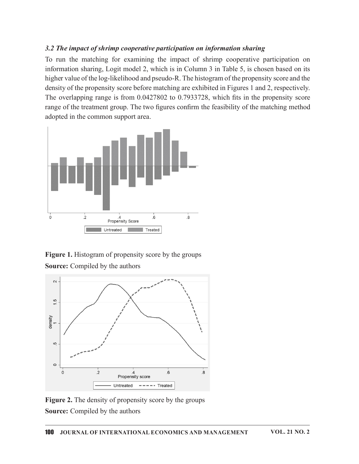## 3.2 The impact of shrimp cooperative participation on information sharing

To run the matching for examining the impact of shrimp cooperative participation on information sharing, Logit model 2, which is in Column 3 in Table 5, is chosen based on its higher value of the log-likelihood and pseudo-R. The histogram of the propensity score and the density of the propensity score before matching are exhibited in Figures 1 and 2, respectively. The overlapping range is from  $0.0427802$  to  $0.7933728$ , which fits in the propensity score range of the treatment group. The two figures confirm the feasibility of the matching method adopted in the common support area.



Figure 1. Histogram of propensity score by the groups Source: Compiled by the authors



Figure 2. The density of propensity score by the groups Source: Compiled by the authors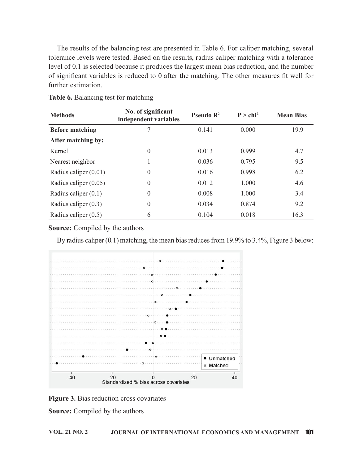| further estimation.                  | of significant variables is reduced to 0 after the matching. The other measures fit well for |                       |                      | tolerance levels were tested. Based on the results, radius caliper matching with a tolerance<br>level of 0.1 is selected because it produces the largest mean bias reduction, and the number |
|--------------------------------------|----------------------------------------------------------------------------------------------|-----------------------|----------------------|----------------------------------------------------------------------------------------------------------------------------------------------------------------------------------------------|
| Table 6. Balancing test for matching |                                                                                              |                       |                      |                                                                                                                                                                                              |
| <b>Methods</b>                       | No. of significant<br>independent variables                                                  | Pseudo R <sup>2</sup> | P > chi <sup>2</sup> | <b>Mean Bias</b>                                                                                                                                                                             |
| <b>Before matching</b>               | 7                                                                                            | 0.141                 | 0.000                | 19.9                                                                                                                                                                                         |
| After matching by:                   |                                                                                              |                       |                      |                                                                                                                                                                                              |
| Kernel                               | $\theta$                                                                                     | 0.013                 | 0.999                | 4.7                                                                                                                                                                                          |
| Nearest neighbor                     |                                                                                              | 0.036                 | 0.795                | 9.5                                                                                                                                                                                          |
|                                      |                                                                                              | 0.016                 | 0.998                | 6.2                                                                                                                                                                                          |
| Radius caliper (0.01)                | $\theta$                                                                                     |                       |                      |                                                                                                                                                                                              |
| Radius caliper (0.05)                | $\theta$                                                                                     | 0.012                 | 1.000                | 4.6                                                                                                                                                                                          |
| Radius caliper $(0.1)$               | $\Omega$                                                                                     | 0.008                 | 1.000                | 3.4                                                                                                                                                                                          |
| Radius caliper (0.3)                 | $\theta$                                                                                     | 0.034                 | 0.874                | 9.2                                                                                                                                                                                          |

Table 6. Balancing test for matching



Figure 3. Bias reduction cross covariates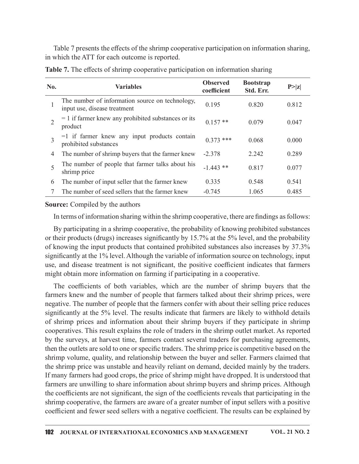|                | Table 7 presents the effects of the shrimp cooperative participation on information sharing,<br>in which the ATT for each outcome is reported. |                                |                               |        |
|----------------|------------------------------------------------------------------------------------------------------------------------------------------------|--------------------------------|-------------------------------|--------|
|                |                                                                                                                                                |                                |                               |        |
|                |                                                                                                                                                |                                |                               |        |
|                | Table 7. The effects of shrimp cooperative participation on information sharing                                                                |                                |                               |        |
| No.            | <b>Variables</b>                                                                                                                               | <b>Observed</b><br>coefficient | <b>Bootstrap</b><br>Std. Err. | P >  z |
|                | The number of information source on technology,<br>input use, disease treatment                                                                | 0.195                          | 0.820                         | 0.812  |
|                |                                                                                                                                                |                                |                               |        |
| $\overline{2}$ | $= 1$ if farmer knew any prohibited substances or its<br>product                                                                               | $0.157**$                      | 0.079                         | 0.047  |
| 3              | $=1$ if farmer knew any input products contain<br>prohibited substances                                                                        | $0.373$ ***                    | 0.068                         | 0.000  |
| 4              | The number of shrimp buyers that the farmer knew                                                                                               | $-2.378$                       | 2.242                         | 0.289  |
| 5              | The number of people that farmer talks about his<br>shrimp price                                                                               | $-1.443$ **                    | 0.817                         | 0.077  |
| 6              | The number of input seller that the farmer knew                                                                                                | 0.335                          | 0.548                         | 0.541  |

Table 7. The effects of shrimp cooperative participation on information sharing

#### Source: Compiled by the authors

By participating in a shrimp cooperative, the probability of knowing prohibited substances or their products (drugs) increases significantly by 15.7% at the 5% level, and the probability of knowing the input products that contained prohibited substances also increases by 37.3% significantly at the 1% level. Although the variable of information source on technology, input use, and disease treatment is not significant, the positive coefficient indicates that farmers might obtain more information on farming if participating in a cooperative.

The coefficients of both variables, which are the number of shrimp buyers that the farmers knew and the number of people that farmers talked about their shrimp prices, were negative. The number of people that the farmers confer with about their selling price reduces significantly at the 5% level. The results indicate that farmers are likely to withhold details of shrimp prices and information about their shrimp buyers if they participate in shrimp cooperatives. This result explains the role of traders in theshrimp outlet market. As reported by the surveys, at harvest time, farmers contact several traders for purchasing agreements, then the outlets are sold to one or specific traders. The shrimp price is competitive based on the shrimp volume, quality, and relationship between the buyer and seller. Farmers claimed that the shrimp price was unstable and heavily reliant on demand, decided mainly by the traders. If many farmers had good crops, the price of shrimp might have dropped. It is understood that farmers are unwilling to share information about shrimp buyers and shrimp prices. Although the coefficients are not significant, the sign of the coefficients reveals that participating in the shrimp cooperative, the farmers are aware of a greater number of input sellers with a positive coefficient and fewer seed sellers with a negative coefficient. The results can be explained by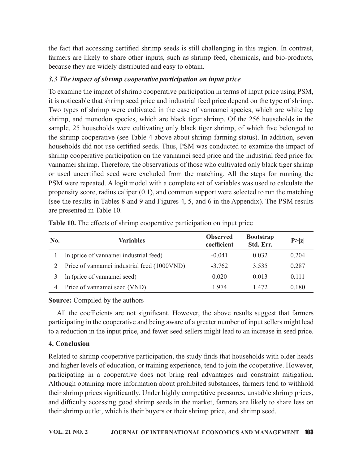the fact that accessing certified shrimp seeds is still challenging in this region. In contrast, farmers are likely to share other inputs, such as shrimp feed, chemicals, and bio-products, because they are widely distributed and easy to obtain.

# 3.3 The impact of shrimp cooperative participation on input price

To examine the impact of shrimp cooperative participation in terms of input price using PSM, it is noticeable that shrimp seed price and industrial feed price depend on the type of shrimp. Two types of shrimp were cultivated in the case of vannamei species, which are white leg shrimp, and monodon species, which are black tiger shrimp. Of the 256 households in the sample, 25 households were cultivating only black tiger shrimp, of which five belonged to the shrimp cooperative (see Table 4 above about shrimp farming status). In addition, seven households did not use certified seeds. Thus, PSM was conducted to examine the impact of shrimp cooperative participation on the vannamei seed price and the industrial feed price for vannamei shrimp. Therefore, the observations of those who cultivated only black tiger shrimp or used uncertified seed were excluded from the matching. All the steps for running the PSM were repeated. A logit model with a complete set of variables was used to calculate the propensity score, radius caliper (0.1), and common support were selected to run the matching (see the results in Tables 8 and 9 and Figures 4, 5, and 6 in the Appendix). The PSM results are presented in Table 10. is noticeable that shrimp seed price and industrial feed price depend on the type of shrimp<br>Wo types of shrimp were cultivated in the case of vannamei species, which are white ley<br>hirmp, and monodon species, which are bla No types of sammp were cunveated in the case of vannamei speecks, which are black tiger shrimp. Of the 256 households in the mple, 25 households were cultivating only black tiger shrimp, of which five belonged to eshrimp may, and a monotant spectral feed consecutive participation of person and a single summary of which five belonged to schiffned secessibled and ot the secessible and a solution of the schiffned componentive (see Table 4 abo e shrimp cooperative (see Table 4 above about shrimp farming status). In addition, seven<br>
sussholds did not use certified seeds. Thus, PSM was conducted to examine the impact of<br>
improperative participation on the vanname ouscholds did not use certified seeds. Thus, PSM was conducted to examine the impact of<br>minamore parative participation on the vannamei seed price and the industrial feed price for<br>minamei selmpt, Therefore, the observatio

| No. | <b>Variables</b>                            | <b>Observed</b><br>coefficient | <b>Bootstrap</b><br>Std. Err. | P >  z |
|-----|---------------------------------------------|--------------------------------|-------------------------------|--------|
|     | In (price of vannamei industrial feed)      | $-0.041$                       | 0.032                         | 0.204  |
|     | Price of vannamei industrial feed (1000VND) | $-3.762$                       | 3.535                         | 0.287  |
| 3   | In (price of vannamei seed)                 | 0.020                          | 0.013                         | 0.111  |
| 4   | Price of vannamei seed (VND)                | 1.974                          | 1.472                         | 0.180  |

Table 10. The effects of shrimp cooperative participation on input price

# Source: Compiled by the authors

All the coefficients are not significant. However, the above results suggest that farmers participating in the cooperative and being aware of a greater number of input sellers might lead to a reduction in the input price, and fewer seed sellers might lead to an increase in seed price.

# 4. Conclusion

Related to shrimp cooperative participation, the study finds that households with older heads and higher levels of education, or training experience, tend to join the cooperative. However, participating in a cooperative does not bring real advantages and constraint mitigation. Although obtaining more information about prohibited substances, farmers tend to withhold their shrimp prices significantly. Under highly competitive pressures, unstable shrimp prices, and difficulty accessing good shrimp seeds in the market, farmers are likely to share less on their shrimp outlet, which is their buyers or their shrimp price, and shrimp seed.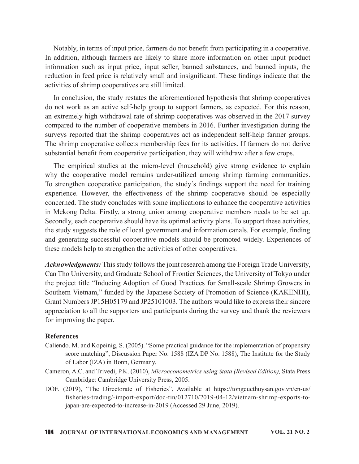Notably, in terms of input price, farmers do not benefit from participating in a cooperative. In addition, although farmers are likely to share more information on other input product information such as input price, input seller, banned substances, and banned inputs, the reduction in feed price is relatively small and insignificant. These findings indicate that the activities of shrimp cooperatives are still limited.

In conclusion, the study restates the aforementioned hypothesis that shrimp cooperatives do not work as an active self-help group to support farmers, as expected. For this reason, an extremely high withdrawal rate of shrimp cooperatives was observed in the 2017 survey compared to the number of cooperative members in 2016. Further investigation during the surveys reported that the shrimp cooperatives act as independent self-help farmer groups. The shrimp cooperative collects membership fees for its activities. If farmers do not derive substantial benefit from cooperative participation, they will withdraw after a few crops.

The empirical studies at the micro-level (household) give strong evidence to explain why the cooperative model remains under-utilized among shrimp farming communities. Notably, in terms of input price, farmers do not benefit from participating in a cooperative.<br>In addition, although farmers are likely to share more information on other input product<br>information such as input price, input experience. However, the effectiveness of the shrimp cooperative should be especially concerned. The study concludes with some implications to enhance the cooperative activities in Mekong Delta. Firstly, a strong union among cooperative members needs to be set up. Secondly, each cooperative should have its optimal activity plans. To support these activities, the study suggests the role of local government and information canals. For example, finding and generating successful cooperative models should be promoted widely. Experiences of these models help to strengthen the activities of other cooperatives.

Acknowledgments: This study follows the joint research among the Foreign Trade University, Can Tho University, and Graduate School of Frontier Sciences, the University of Tokyo under the project title "Inducing Adoption of Good Practices for Small‐scale Shrimp Growers in Southern Vietnam," funded by the Japanese Society of Promotion of Science (KAKENHI), Grant NumbersJP15H05179 and JP25101003. The authors would like to expresstheir sincere appreciation to all the supporters and participants during the survey and thank the reviewers for improving the paper.

#### **References**

- Caliendo, M. and Kopeinig, S. (2005). "Some practical guidance for the implementation of propensity score matching", Discussion Paper No. 1588 (IZA DP No. 1588), The Institute for the Study of Labor (IZA) in Bonn, Germany.
- Cameron, A.C. and Trivedi, P.K. (2010), Microeconometrics using Stata (Revised Edition), Stata Press Cambridge: Cambridge University Press, 2005.
- DOF. (2019), "The Directorate of Fisheries", Available at https://tongcucthuysan.gov.vn/en-us/ fisheries-trading/-import-export/doc-tin/012710/2019-04-12/vietnam-shrimp-exports-tojapan-are-expected-to-increase-in-2019 (Accessed 29 June, 2019).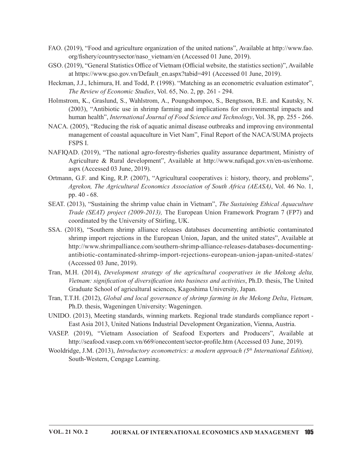- FAO. (2019), "Food and agriculture organization of the united nations", Available at http://www.fao. org/fishery/countrysector/naso\_vietnam/en (Accessed 01 June, 2019).
- GSO. (2019), "General Statistics Office of Vietnam (Official website, the statistics section)", Available at https://www.gso.gov.vn/Default\_en.aspx?tabid=491 (Accessed 01 June, 2019).
- Heckman, J.J., Ichimura, H. and Todd, P. (1998). "Matching as an econometric evaluation estimator", The Review of Economic Studies, Vol. 65, No. 2, pp. 261 - 294.
- Holmstrom, K., Graslund, S., Wahlstrom, A., Poungshompoo, S., Bengtsson, B.E. and Kautsky, N. (2003), "Antibiotic use in shrimp farming and implications for environmental impacts and human health", *International Journal of Food Science and Technology*, Vol. 38, pp. 255 - 266.
- NACA. (2005), "Reducing the risk of aquatic animal disease outbreaks and improving environmental management of coastal aquaculture in Viet Nam", Final Report of the NACA/SUMA projects FSPS I.
- NAFIQAD. (2019), "The national agro-forestry-fisheries quality assurance department, Ministry of Agriculture & Rural development", Available at http://www.nafiqad.gov.vn/en-us/enhome. aspx (Accessed 03 June, 2019).
- Ortmann, G.F. and King, R.P. (2007), "Agricultural cooperatives i: history, theory, and problems", Agrekon, The Agricultural Economics Association of South Africa (AEASA), Vol. 46 No. 1, pp. 40 - 68.
- SEAT. (2013), "Sustaining the shrimp value chain in Vietnam", The Sustaining Ethical Aquaculture Trade (SEAT) project (2009-2013), The European Union Framework Program 7 (FP7) and coordinated by the University of Stirling, UK.
- SSA. (2018), "Southern shrimp alliance releases databases documenting antibiotic contaminated shrimp import rejections in the European Union, Japan, and the united states", Available at http://www.shrimpalliance.com/southern-shrimp-alliance-releases-databases-documentingantibiotic-contaminated-shrimp-import-rejections-european-union-japan-united-states/ (Accessed 03 June, 2019).
- Tran, M.H. (2014), Development strategy of the agricultural cooperatives in the Mekong delta, Vietnam: signification of diversification into business and activities, Ph.D. thesis, The United Graduate School of agricultural sciences, Kagoshima University, Japan.
- Tran, T.T.H. (2012), Global and local governance of shrimp farming in the Mekong Delta, Vietnam, Ph.D. thesis, Wageningen University: Wageningen.
- UNIDO. (2013), Meeting standards, winning markets. Regional trade standards compliance report East Asia 2013, United Nations Industrial Development Organization, Vienna, Austria.
- VASEP. (2019), "Vietnam Association of Seafood Exporters and Producers", Available at http://seafood.vasep.com.vn/669/onecontent/sector-profile.htm (Accessed 03 June, 2019).
- Wooldridge, J.M. (2013), Introductory econometrics: a modern approach ( $5<sup>th</sup>$  International Edition), South-Western, Cengage Learning.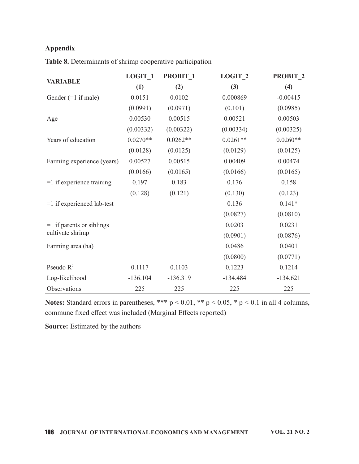## Appendix

| <b>Appendix</b>                                           |            |            |            |            |
|-----------------------------------------------------------|------------|------------|------------|------------|
| Table 8. Determinants of shrimp cooperative participation |            |            |            |            |
|                                                           | LOGIT_1    | PROBIT 1   | $LOGIT_2$  | PROBIT_2   |
| <b>VARIABLE</b>                                           | (1)        | (2)        | (3)        | (4)        |
| Gender $(=1$ if male)                                     | 0.0151     | 0.0102     | 0.000869   | $-0.00415$ |
|                                                           | (0.0991)   | (0.0971)   | (0.101)    | (0.0985)   |
| Age                                                       | 0.00530    | 0.00515    | 0.00521    | 0.00503    |
|                                                           | (0.00332)  | (0.00322)  | (0.00334)  | (0.00325)  |
| Years of education                                        | $0.0270**$ | $0.0262**$ | $0.0261**$ | $0.0260**$ |
|                                                           | (0.0128)   | (0.0125)   | (0.0129)   | (0.0125)   |
| Farming experience (years)                                | 0.00527    | 0.00515    | 0.00409    | 0.00474    |
|                                                           | (0.0166)   | (0.0165)   | (0.0166)   | (0.0165)   |
| $=1$ if experience training                               | 0.197      | 0.183      | 0.176      | 0.158      |
|                                                           | (0.128)    | (0.121)    | (0.130)    | (0.123)    |
| $=1$ if experienced lab-test                              |            |            | 0.136      | $0.141*$   |
|                                                           |            |            | (0.0827)   | (0.0810)   |
| $=1$ if parents or siblings                               |            |            | 0.0203     | 0.0231     |
| cultivate shrimp                                          |            |            | (0.0901)   | (0.0876)   |
| Farming area (ha)                                         |            |            | 0.0486     | 0.0401     |
|                                                           |            |            | (0.0800)   | (0.0771)   |
| Pseudo $R^2$                                              | 0.1117     | 0.1103     | 0.1223     | 0.1214     |
| Log-likelihood                                            | $-136.104$ | $-136.319$ | $-134.484$ | $-134.621$ |
| Observations                                              | 225        | 225        | 225        | 225        |

Table 8. Determinants of shrimp cooperative participation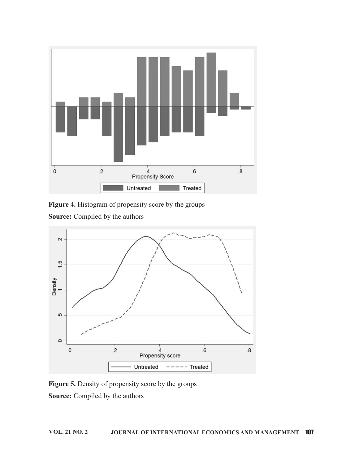

Figure 4. Histogram of propensity score by the groups



Figure 5. Density of propensity score by the groups Source: Compiled by the authors